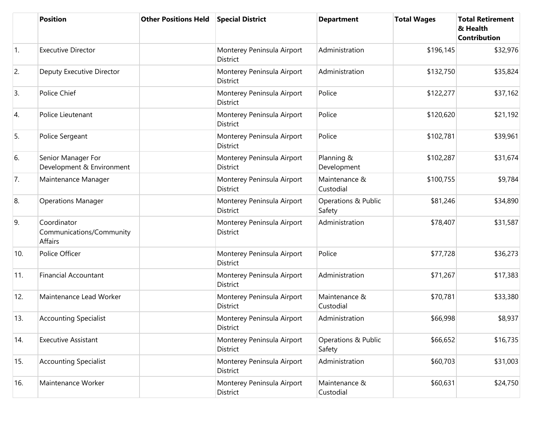|            | <b>Position</b>                                           | <b>Other Positions Held</b> | <b>Special District</b>                       | <b>Department</b>             | <b>Total Wages</b> | <b>Total Retirement</b><br>& Health<br><b>Contribution</b> |
|------------|-----------------------------------------------------------|-----------------------------|-----------------------------------------------|-------------------------------|--------------------|------------------------------------------------------------|
| $\vert$ 1. | <b>Executive Director</b>                                 |                             | Monterey Peninsula Airport<br><b>District</b> | Administration                | \$196,145          | \$32,976                                                   |
| 2.         | Deputy Executive Director                                 |                             | Monterey Peninsula Airport<br>District        | Administration                | \$132,750          | \$35,824                                                   |
| 3.         | Police Chief                                              |                             | Monterey Peninsula Airport<br>District        | Police                        | \$122,277          | \$37,162                                                   |
| 4.         | Police Lieutenant                                         |                             | Monterey Peninsula Airport<br><b>District</b> | Police                        | \$120,620          | \$21,192                                                   |
| 5.         | Police Sergeant                                           |                             | Monterey Peninsula Airport<br>District        | Police                        | \$102,781          | \$39,961                                                   |
| 6.         | Senior Manager For<br>Development & Environment           |                             | Monterey Peninsula Airport<br><b>District</b> | Planning &<br>Development     | \$102,287          | \$31,674                                                   |
| 7.         | Maintenance Manager                                       |                             | Monterey Peninsula Airport<br>District        | Maintenance &<br>Custodial    | \$100,755          | \$9,784                                                    |
| 8.         | <b>Operations Manager</b>                                 |                             | Monterey Peninsula Airport<br><b>District</b> | Operations & Public<br>Safety | \$81,246           | \$34,890                                                   |
| 9.         | Coordinator<br>Communications/Community<br><b>Affairs</b> |                             | Monterey Peninsula Airport<br>District        | Administration                | \$78,407           | \$31,587                                                   |
| 10.        | Police Officer                                            |                             | Monterey Peninsula Airport<br><b>District</b> | Police                        | \$77,728           | \$36,273                                                   |
| 11.        | <b>Financial Accountant</b>                               |                             | Monterey Peninsula Airport<br><b>District</b> | Administration                | \$71,267           | \$17,383                                                   |
| 12.        | Maintenance Lead Worker                                   |                             | Monterey Peninsula Airport<br>District        | Maintenance &<br>Custodial    | \$70,781           | \$33,380                                                   |
| 13.        | <b>Accounting Specialist</b>                              |                             | Monterey Peninsula Airport<br>District        | Administration                | \$66,998           | \$8,937                                                    |
| 14.        | <b>Executive Assistant</b>                                |                             | Monterey Peninsula Airport<br>District        | Operations & Public<br>Safety | \$66,652           | \$16,735                                                   |
| 15.        | <b>Accounting Specialist</b>                              |                             | Monterey Peninsula Airport<br>District        | Administration                | \$60,703           | \$31,003                                                   |
| 16.        | Maintenance Worker                                        |                             | Monterey Peninsula Airport<br>District        | Maintenance &<br>Custodial    | \$60,631           | \$24,750                                                   |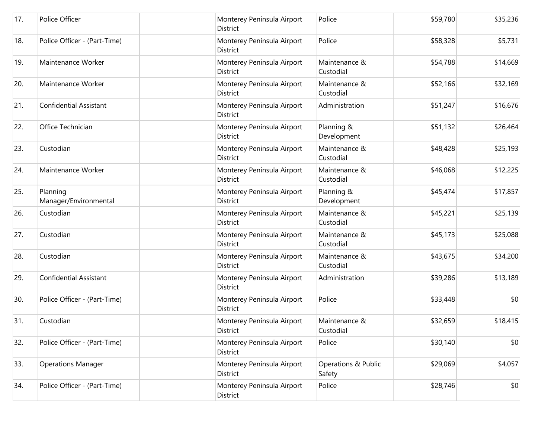| 17. | Police Officer                    | Monterey Peninsula Airport<br>District        | Police                        | \$59,780 | \$35,236 |
|-----|-----------------------------------|-----------------------------------------------|-------------------------------|----------|----------|
| 18. | Police Officer - (Part-Time)      | Monterey Peninsula Airport<br>District        | Police                        | \$58,328 | \$5,731  |
| 19. | Maintenance Worker                | Monterey Peninsula Airport<br>District        | Maintenance &<br>Custodial    | \$54,788 | \$14,669 |
| 20. | Maintenance Worker                | Monterey Peninsula Airport<br><b>District</b> | Maintenance &<br>Custodial    | \$52,166 | \$32,169 |
| 21. | <b>Confidential Assistant</b>     | Monterey Peninsula Airport<br>District        | Administration                | \$51,247 | \$16,676 |
| 22. | Office Technician                 | Monterey Peninsula Airport<br>District        | Planning &<br>Development     | \$51,132 | \$26,464 |
| 23. | Custodian                         | Monterey Peninsula Airport<br>District        | Maintenance &<br>Custodial    | \$48,428 | \$25,193 |
| 24. | Maintenance Worker                | Monterey Peninsula Airport<br>District        | Maintenance &<br>Custodial    | \$46,068 | \$12,225 |
| 25. | Planning<br>Manager/Environmental | Monterey Peninsula Airport<br>District        | Planning &<br>Development     | \$45,474 | \$17,857 |
| 26. | Custodian                         | Monterey Peninsula Airport<br>District        | Maintenance &<br>Custodial    | \$45,221 | \$25,139 |
| 27. | Custodian                         | Monterey Peninsula Airport<br>District        | Maintenance &<br>Custodial    | \$45,173 | \$25,088 |
| 28. | Custodian                         | Monterey Peninsula Airport<br>District        | Maintenance &<br>Custodial    | \$43,675 | \$34,200 |
| 29. | <b>Confidential Assistant</b>     | Monterey Peninsula Airport<br>District        | Administration                | \$39,286 | \$13,189 |
| 30. | Police Officer - (Part-Time)      | Monterey Peninsula Airport<br>District        | Police                        | \$33,448 | \$0      |
| 31. | Custodian                         | Monterey Peninsula Airport<br><b>District</b> | Maintenance &<br>Custodial    | \$32,659 | \$18,415 |
| 32. | Police Officer - (Part-Time)      | Monterey Peninsula Airport<br>District        | Police                        | \$30,140 | \$0      |
| 33. | <b>Operations Manager</b>         | Monterey Peninsula Airport<br>District        | Operations & Public<br>Safety | \$29,069 | \$4,057  |
| 34. | Police Officer - (Part-Time)      | Monterey Peninsula Airport<br>District        | Police                        | \$28,746 | \$0      |